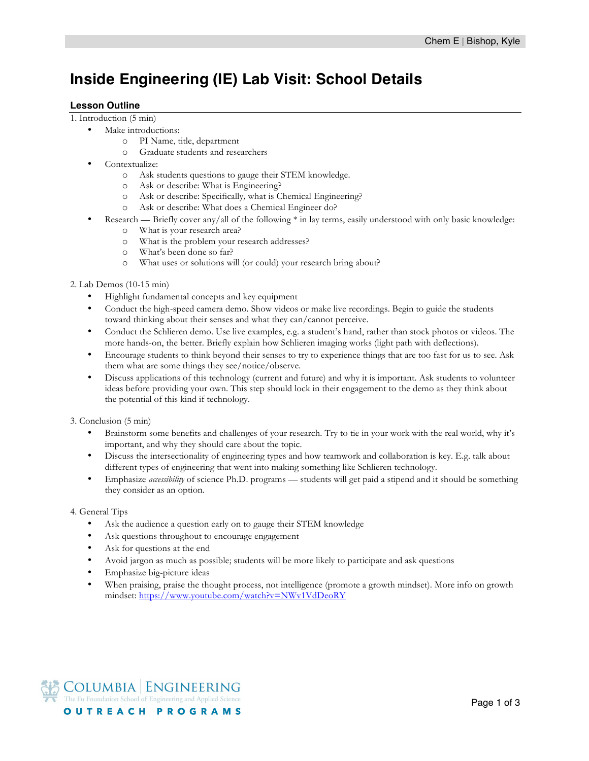# **Inside Engineering (IE) Lab Visit: School Details**

## **Lesson Outline**

1. Introduction (5 min)

- Make introductions:
	- o PI Name, title, department
	- o Graduate students and researchers
- Contextualize:
	- o Ask students questions to gauge their STEM knowledge.
	- o Ask or describe: What is Engineering?
	- o Ask or describe: Specifically*,* what is Chemical Engineering?
	- o Ask or describe: What does a Chemical Engineer do?
	- Research Briefly cover any/all of the following \* in lay terms, easily understood with only basic knowledge:
		- o What is your research area?
		- o What is the problem your research addresses?
		- o What's been done so far?
		- o What uses or solutions will (or could) your research bring about?

2. Lab Demos (10-15 min)

- Highlight fundamental concepts and key equipment
- Conduct the high-speed camera demo. Show videos or make live recordings. Begin to guide the students toward thinking about their senses and what they can/cannot perceive.
- Conduct the Schlieren demo. Use live examples, e.g. a student's hand, rather than stock photos or videos. The more hands-on, the better. Briefly explain how Schlieren imaging works (light path with deflections).
- Encourage students to think beyond their senses to try to experience things that are too fast for us to see. Ask them what are some things they see/notice/observe.
- Discuss applications of this technology (current and future) and why it is important. Ask students to volunteer ideas before providing your own. This step should lock in their engagement to the demo as they think about the potential of this kind if technology.

3. Conclusion (5 min)

- Brainstorm some benefits and challenges of your research. Try to tie in your work with the real world, why it's important, and why they should care about the topic.
- Discuss the intersectionality of engineering types and how teamwork and collaboration is key. E.g. talk about different types of engineering that went into making something like Schlieren technology.
- Emphasize *accessibility* of science Ph.D. programs students will get paid a stipend and it should be something they consider as an option.

4. General Tips

- Ask the audience a question early on to gauge their STEM knowledge
- Ask questions throughout to encourage engagement
- Ask for questions at the end
- Avoid jargon as much as possible; students will be more likely to participate and ask questions
- Emphasize big-picture ideas
- When praising, praise the thought process, not intelligence (promote a growth mindset). More info on growth mindset: https://www.youtube.com/watch?v=NWv1VdDeoRY

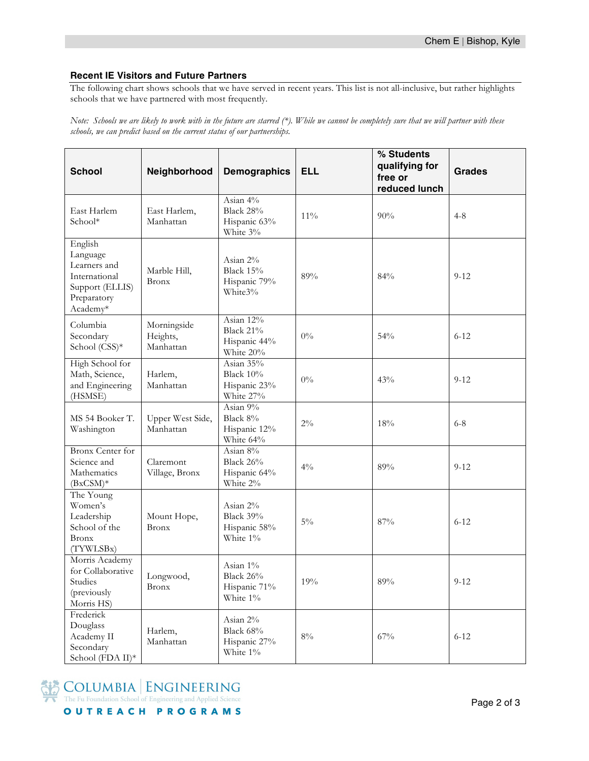### **Recent IE Visitors and Future Partners**

The following chart shows schools that we have served in recent years. This list is not all-inclusive, but rather highlights schools that we have partnered with most frequently.

*Note: Schools we are likely to work with in the future are starred (\*). While we cannot be completely sure that we will partner with these schools, we can predict based on the current status of our partnerships.*

| <b>School</b>                                                                                      | Neighborhood                         | <b>Demographics</b>                                        | <b>ELL</b> | % Students<br>qualifying for<br>free or<br>reduced lunch | <b>Grades</b> |
|----------------------------------------------------------------------------------------------------|--------------------------------------|------------------------------------------------------------|------------|----------------------------------------------------------|---------------|
| East Harlem<br>School*                                                                             | East Harlem,<br>Manhattan            | Asian 4%<br>Black 28%<br>Hispanic 63%<br>White 3%          | $11\%$     | 90%                                                      | $4 - 8$       |
| English<br>Language<br>Learners and<br>International<br>Support (ELLIS)<br>Preparatory<br>Academy* | Marble Hill,<br><b>Bronx</b>         | Asian 2%<br>Black 15%<br>Hispanic 79%<br>White3%           | 89%        | 84%                                                      | $9 - 12$      |
| Columbia<br>Secondary<br>School (CSS)*                                                             | Morningside<br>Heights,<br>Manhattan | Asian 12%<br><b>Black 21%</b><br>Hispanic 44%<br>White 20% | $0\%$      | 54%                                                      | $6 - 12$      |
| High School for<br>Math, Science,<br>and Engineering<br>(HSMSE)                                    | Harlem,<br>Manhattan                 | Asian 35%<br>Black $10\%$<br>Hispanic 23%<br>White 27%     | $0\%$      | 43%                                                      | $9 - 12$      |
| MS 54 Booker T.<br>Washington                                                                      | Upper West Side,<br>Manhattan        | Asian 9%<br>Black 8%<br>Hispanic 12%<br>White 64%          | $2\%$      | 18%                                                      | $6 - 8$       |
| <b>Bronx Center for</b><br>Science and<br>Mathematics<br>$(BxCSM)^*$                               | Claremont<br>Village, Bronx          | Asian 8%<br>Black 26%<br>Hispanic 64%<br>White 2%          | $4\%$      | 89%                                                      | $9 - 12$      |
| The Young<br>Women's<br>Leadership<br>School of the<br><b>Bronx</b><br>(TYWLSBx)                   | Mount Hope,<br>Bronx                 | Asian 2%<br>Black 39%<br>Hispanic 58%<br>White 1%          | $5\%$      | $87\%$                                                   | $6 - 12$      |
| Morris Academy<br>for Collaborative<br>Studies<br>(previously<br>Morris HS)                        | Longwood,<br><b>Bronx</b>            | Asian 1%<br>Black 26%<br>Hispanic 71%<br>White 1%          | 19%        | $89\%$                                                   | $9 - 12$      |
| Frederick<br>Douglass<br>Academy II<br>Secondary<br>School (FDA II)*                               | Harlem,<br>Manhattan                 | Asian 2%<br>Black 68%<br>Hispanic 27%<br>White 1%          | $8\%$      | 67%                                                      | $6 - 12$      |